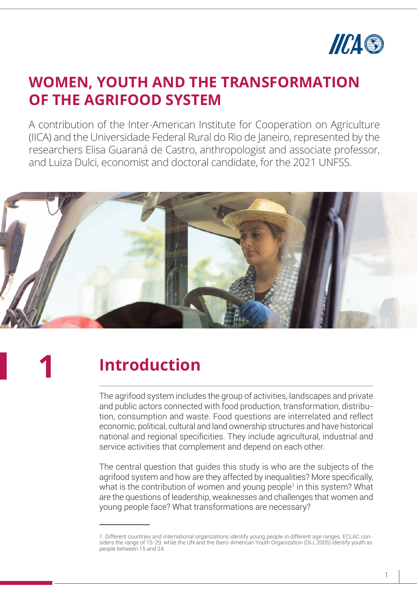

**WOMEN, YOUTH AND THE TRANSFORMATION OF THE AGRIFOOD SYSTEM**

### **WOMEN, YOUTH AND THE TRANSFORMATION OF THE AGRIFOOD SYSTEM**

A contribution of the Inter-American Institute for Cooperation on Agriculture (IICA) and the Universidade Federal Rural do Rio de Janeiro, represented by the researchers Elisa Guaraná de Castro, anthropologist and associate professor, and Luiza Dulci, economist and doctoral candidate, for the 2021 UNFSS.



**1**

# **Introduction**

The agrifood system includes the group of activities, landscapes and private and public actors connected with food production, transformation, distribution, consumption and waste. Food questions are interrelated and reflect economic, political, cultural and land ownership structures and have historical national and regional specificities. They include agricultural, industrial and service activities that complement and depend on each other.

The central question that guides this study is who are the subjects of the agrifood system and how are they affected by inequalities? More specifically, what is the contribution of women and young people<sup>1</sup> in this system? What are the questions of leadership, weaknesses and challenges that women and young people face? What transformations are necessary?

<sup>1.</sup> Different countries and international organizations identify young people in different age ranges. ECLAC considers the range of 15-29, while the UN and the Ibero-American Youth Organization (OIJ, 2005) identify youth as people between 15 and 24.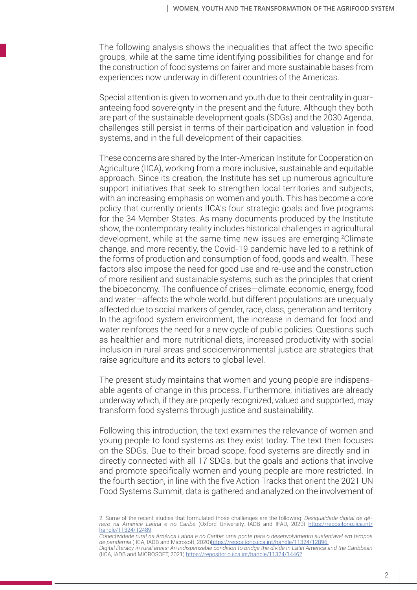The following analysis shows the inequalities that affect the two specific groups, while at the same time identifying possibilities for change and for the construction of food systems on fairer and more sustainable bases from experiences now underway in different countries of the Americas.

Special attention is given to women and youth due to their centrality in guaranteeing food sovereignty in the present and the future. Although they both are part of the sustainable development goals (SDGs) and the 2030 Agenda, challenges still persist in terms of their participation and valuation in food systems, and in the full development of their capacities.

These concerns are shared by the Inter-American Institute for Cooperation on Agriculture (IICA), working from a more inclusive, sustainable and equitable approach. Since its creation, the Institute has set up numerous agriculture support initiatives that seek to strengthen local territories and subjects, with an increasing emphasis on women and youth. This has become a core policy that currently orients IICA's four strategic goals and five programs for the 34 Member States. As many documents produced by the Institute show, the contemporary reality includes historical challenges in agricultural development, while at the same time new issues are emerging.2Climate change, and more recently, the Covid-19 pandemic have led to a rethink of the forms of production and consumption of food, goods and wealth. These factors also impose the need for good use and re-use and the construction of more resilient and sustainable systems, such as the principles that orient the bioeconomy. The confluence of crises—climate, economic, energy, food and water—affects the whole world, but different populations are unequally affected due to social markers of gender, race, class, generation and territory. In the agrifood system environment, the increase in demand for food and water reinforces the need for a new cycle of public policies. Questions such as healthier and more nutritional diets, increased productivity with social inclusion in rural areas and socioenvironmental justice are strategies that raise agriculture and its actors to global level.

The present study maintains that women and young people are indispensable agents of change in this process. Furthermore, initiatives are already underway which, if they are properly recognized, valued and supported, may transform food systems through justice and sustainability.

Following this introduction, the text examines the relevance of women and young people to food systems as they exist today. The text then focuses on the SDGs. Due to their broad scope, food systems are directly and indirectly connected with all 17 SDGs, but the goals and actions that involve and promote specifically women and young people are more restricted. In the fourth section, in line with the five Action Tracks that orient the 2021 UN Food Systems Summit, data is gathered and analyzed on the involvement of

<sup>2.</sup> Some of the recent studies that formulated those challenges are the following: *Desigualdade digital de gênero na América Latina e no Caribe* (Oxford University, IADB and IFAD, 2020) https://repositorio.iica.int/ handle/11324/12489.

*Conectividade rural na América Latina e no Caribe: uma ponte para o desenvolvimento sustentável em tempos de pandemia* (IICA, IADB and Microsoft, 2020)https://repositorio.iica.int/handle/11324/12896. *Digital literacy in rural areas: An indispensable condition to bridge the divide in Latin America and the Caribbean* (IICA, IADB and MICROSOFT, 2021) https://repositorio.iica.int/handle/11324/14462.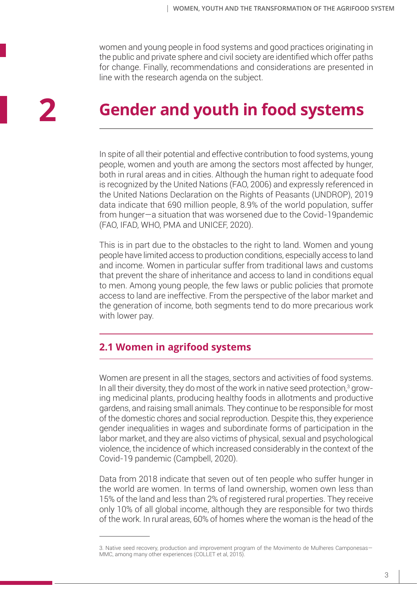women and young people in food systems and good practices originating in the public and private sphere and civil society are identified which offer paths for change. Finally, recommendations and considerations are presented in line with the research agenda on the subject.

# **Gender and youth in food systems**

In spite of all their potential and effective contribution to food systems, young people, women and youth are among the sectors most affected by hunger, both in rural areas and in cities. Although the human right to adequate food is recognized by the United Nations (FAO, 2006) and expressly referenced in the United Nations Declaration on the Rights of Peasants (UNDROP), 2019 data indicate that 690 million people, 8.9% of the world population, suffer from hunger—a situation that was worsened due to the Covid-19pandemic (FAO, IFAD, WHO, PMA and UNICEF, 2020).

This is in part due to the obstacles to the right to land. Women and young people have limited access to production conditions, especially access to land and income. Women in particular suffer from traditional laws and customs that prevent the share of inheritance and access to land in conditions equal to men. Among young people, the few laws or public policies that promote access to land are ineffective. From the perspective of the labor market and the generation of income, both segments tend to do more precarious work with lower pay.

### **2.1 Women in agrifood systems**

Women are present in all the stages, sectors and activities of food systems. In all their diversity, they do most of the work in native seed protection,<sup>3</sup> growing medicinal plants, producing healthy foods in allotments and productive gardens, and raising small animals. They continue to be responsible for most of the domestic chores and social reproduction. Despite this, they experience gender inequalities in wages and subordinate forms of participation in the labor market, and they are also victims of physical, sexual and psychological violence, the incidence of which increased considerably in the context of the Covid-19 pandemic (Campbell, 2020).

Data from 2018 indicate that seven out of ten people who suffer hunger in the world are women. In terms of land ownership, women own less than 15% of the land and less than 2% of registered rural properties. They receive only 10% of all global income, although they are responsible for two thirds of the work. In rural areas, 60% of homes where the woman is the head of the

<sup>3.</sup> Native seed recovery, production and improvement program of the Movimento de Mulheres Camponesas— MMC, among many other experiences (COLLET et al, 2015).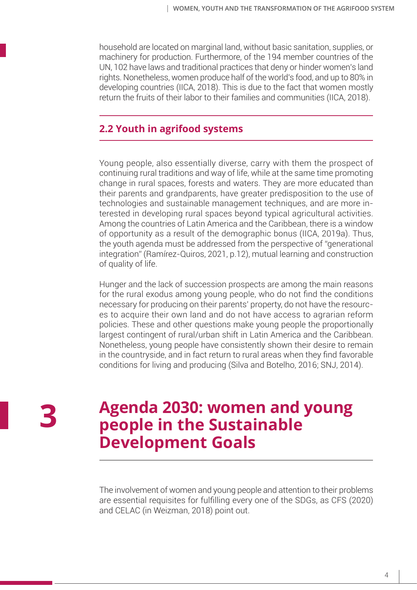household are located on marginal land, without basic sanitation, supplies, or machinery for production. Furthermore, of the 194 member countries of the UN, 102 have laws and traditional practices that deny or hinder women's land rights. Nonetheless, women produce half of the world's food, and up to 80% in developing countries (IICA, 2018). This is due to the fact that women mostly return the fruits of their labor to their families and communities (IICA, 2018).

#### **2.2 Youth in agrifood systems**

Young people, also essentially diverse, carry with them the prospect of continuing rural traditions and way of life, while at the same time promoting change in rural spaces, forests and waters. They are more educated than their parents and grandparents, have greater predisposition to the use of technologies and sustainable management techniques, and are more interested in developing rural spaces beyond typical agricultural activities. Among the countries of Latin America and the Caribbean, there is a window of opportunity as a result of the demographic bonus (IICA, 2019a). Thus, the youth agenda must be addressed from the perspective of "generational integration" (Ramírez-Quiros, 2021, p.12), mutual learning and construction of quality of life.

Hunger and the lack of succession prospects are among the main reasons for the rural exodus among young people, who do not find the conditions necessary for producing on their parents' property, do not have the resources to acquire their own land and do not have access to agrarian reform policies. These and other questions make young people the proportionally largest contingent of rural/urban shift in Latin America and the Caribbean. Nonetheless, young people have consistently shown their desire to remain in the countryside, and in fact return to rural areas when they find favorable conditions for living and producing (Silva and Botelho, 2016; SNJ, 2014).

**3**

### **Agenda 2030: women and young people in the Sustainable Development Goals**

The involvement of women and young people and attention to their problems are essential requisites for fulfilling every one of the SDGs, as CFS (2020) and CELAC (in Weizman, 2018) point out.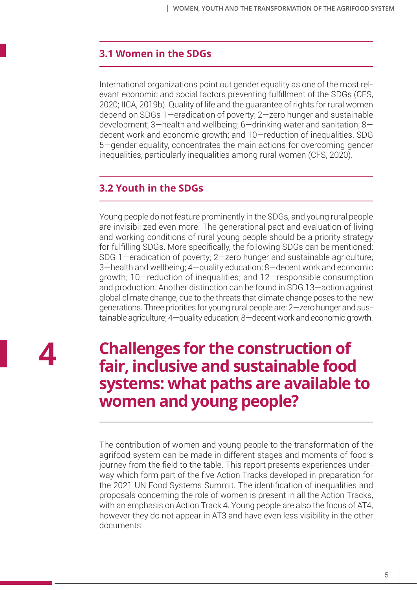#### **3.1 Women in the SDGs**

International organizations point out gender equality as one of the most relevant economic and social factors preventing fulfillment of the SDGs (CFS, 2020; IICA, 2019b). Quality of life and the guarantee of rights for rural women depend on SDGs 1—eradication of poverty; 2—zero hunger and sustainable development; 3—health and wellbeing; 6—drinking water and sanitation; 8 decent work and economic growth; and 10—reduction of inequalities. SDG 5—gender equality, concentrates the main actions for overcoming gender inequalities, particularly inequalities among rural women (CFS, 2020).

### **3.2 Youth in the SDGs**

Young people do not feature prominently in the SDGs, and young rural people are invisibilized even more. The generational pact and evaluation of living and working conditions of rural young people should be a priority strategy for fulfilling SDGs. More specifically, the following SDGs can be mentioned: SDG 1—eradication of poverty; 2—zero hunger and sustainable agriculture; 3—health and wellbeing; 4—quality education; 8—decent work and economic growth; 10—reduction of inequalities; and 12—responsible consumption and production. Another distinction can be found in SDG 13—action against global climate change, due to the threats that climate change poses to the new generations. Three priorities for young rural people are: 2—zero hunger and sustainable agriculture; 4—quality education; 8—decent work and economic growth.

**4**

## **Challenges for the construction of fair, inclusive and sustainable food systems: what paths are available to women and young people?**

The contribution of women and young people to the transformation of the agrifood system can be made in different stages and moments of food's journey from the field to the table. This report presents experiences underway which form part of the five Action Tracks developed in preparation for the 2021 UN Food Systems Summit. The identification of inequalities and proposals concerning the role of women is present in all the Action Tracks, with an emphasis on Action Track 4. Young people are also the focus of AT4, however they do not appear in AT3 and have even less visibility in the other documents.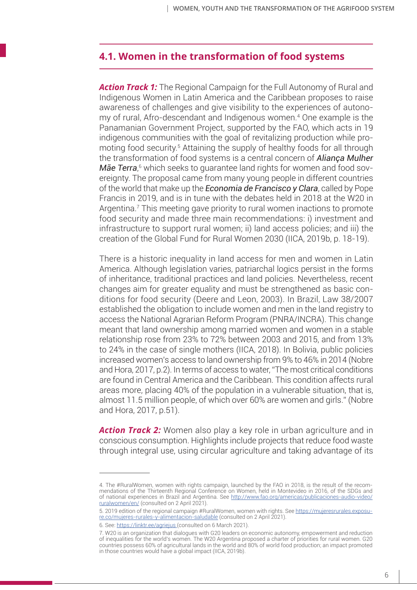#### **4.1. Women in the transformation of food systems**

*Action Track 1:* The Regional Campaign for the Full Autonomy of Rural and Indigenous Women in Latin America and the Caribbean proposes to raise awareness of challenges and give visibility to the experiences of autonomy of rural, Afro-descendant and Indigenous women.4 One example is the Panamanian Government Project, supported by the FAO, which acts in 19 indigenous communities with the goal of revitalizing production while promoting food security.<sup>5</sup> Attaining the supply of healthy foods for all through the transformation of food systems is a central concern of *Aliança Mulher*  **Mãe Terra**,<sup>6</sup> which seeks to guarantee land rights for women and food sovereignty. The proposal came from many young people in different countries of the world that make up the *Economia de Francisco y Clara*, called by Pope Francis in 2019, and is in tune with the debates held in 2018 at the W20 in Argentina.<sup>7</sup> This meeting gave priority to rural women inactions to promote food security and made three main recommendations: i) investment and infrastructure to support rural women; ii) land access policies; and iii) the creation of the Global Fund for Rural Women 2030 (IICA, 2019b, p. 18-19).

There is a historic inequality in land access for men and women in Latin America. Although legislation varies, patriarchal logics persist in the forms of inheritance, traditional practices and land policies. Nevertheless, recent changes aim for greater equality and must be strengthened as basic conditions for food security (Deere and Leon, 2003). In Brazil, Law 38/2007 established the obligation to include women and men in the land registry to access the National Agrarian Reform Program (PNRA/INCRA). This change meant that land ownership among married women and women in a stable relationship rose from 23% to 72% between 2003 and 2015, and from 13% to 24% in the case of single mothers (IICA, 2018). In Bolivia, public policies increased women's access to land ownership from 9% to 46% in 2014 (Nobre and Hora, 2017, p.2). In terms of access to water, "The most critical conditions are found in Central America and the Caribbean. This condition affects rural areas more, placing 40% of the population in a vulnerable situation, that is, almost 11.5 million people, of which over 60% are women and girls." (Nobre and Hora, 2017, p.51).

*Action Track 2:* Women also play a key role in urban agriculture and in conscious consumption. Highlights include projects that reduce food waste through integral use, using circular agriculture and taking advantage of its

<sup>4.</sup> The #RuralWomen, women with rights campaign, launched by the FAO in 2018, is the result of the recommendations of the Thirteenth Regional Conference on Women, held in Montevideo in 2016, of the SDGs and of national experiences in Brazil and Argentina. See http://www.fao.org/americas/publicaciones-audio-video/ ruralwomen/en/ (consulted on 2 April 2021).

<sup>5. 2019</sup> edition of the regional campaign #RuralWomen, women with rights. See https://mujeresrurales.exposure.co/mujeres-rurales-y-alimentacion-saludable (consulted on 2 April 2021).

<sup>6.</sup> See: https://linktr.ee/agriejus (consulted on 6 March 2021).

<sup>7.</sup> W20 is an organization that dialogues with G20 leaders on economic autonomy, empowerment and reduction of inequalities for the world's women. The W20 Argentina proposed a charter of priorities for rural women. G20 countries possess 60% of agricultural lands in the world and 80% of world food production; an impact promoted in those countries would have a global impact (IICA, 2019b).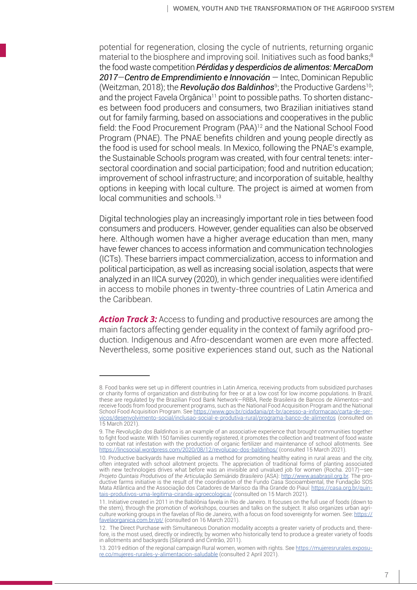potential for regeneration, closing the cycle of nutrients, returning organic material to the biosphere and improving soil. Initiatives such as food banks;<sup>8</sup> the food waste competition *Pérdidas y desperdicios de alimentos: MercaDom 2017*—*Centro de Emprendimiento e Innovación* — Intec, Dominican Republic (Weitzman, 2018); the **Revolução dos Baldinhos**<sup>9</sup>; the Productive Gardens<sup>10</sup>; and the project Favela Orgânica<sup>11</sup> point to possible paths. To shorten distances between food producers and consumers, two Brazilian initiatives stand out for family farming, based on associations and cooperatives in the public field: the Food Procurement Program (PAA)12 and the National School Food Program (PNAE). The PNAE benefits children and young people directly as the food is used for school meals. In Mexico, following the PNAE's example, the Sustainable Schools program was created, with four central tenets: intersectoral coordination and social participation; food and nutrition education; improvement of school infrastructure; and incorporation of suitable, healthy options in keeping with local culture. The project is aimed at women from local communities and schools.13

Digital technologies play an increasingly important role in ties between food consumers and producers. However, gender equalities can also be observed here. Although women have a higher average education than men, many have fewer chances to access information and communication technologies (ICTs). These barriers impact commercialization, access to information and political participation, as well as increasing social isolation, aspects that were analyzed in an IICA survey (2020), in which gender inequalities were identified in access to mobile phones in twenty-three countries of Latin America and the Caribbean.

*Action Track 3:* Access to funding and productive resources are among the main factors affecting gender equality in the context of family agrifood production. Indigenous and Afro-descendant women are even more affected. Nevertheless, some positive experiences stand out, such as the National

<sup>8.</sup> Food banks were set up in different countries in Latin America, receiving products from subsidized purchases or charity forms of organization and distributing for free or at a low cost for low income populations. In Brazil, these are regulated by the Brazilian Food Bank Network—RBBA, Rede Brasileira de Bancos de Alimentos—and receive foods from food procurement programs, such as the National Food Acquisition Program and the National School Food Acquisition Program. See https://www.gov.br/cidadania/pt-br/acesso-a-informacao/carta-de-servicos/desenvolvimento-social/inclusao-social-e-produtiva-rural/programa-banco-de-alimentos (consulted on

<sup>15</sup> March 2021).

<sup>9.</sup> The *Revolução dos Baldinhos* is an example of an associative experience that brought communities together to fight food waste. With 150 families currently registered, it promotes the collection and treatment of food waste to combat rat infestation with the production of organic fertilizer and maintenance of school allotments. See https://lincsocial.wordpress.com/2020/08/12/revolucao-dos-baldinhos/ (consulted 15 March 2021).

<sup>10.</sup> Productive backyards have multiplied as a method for promoting healthy eating in rural areas and the city, often integrated with school allotment projects. The appreciation of traditional forms of planting associated with new technologies drives what before was an invisible and unvalued job for women (Rocha. 2017)—see *Projeto Quintais Produtivos of the Articulação Semiárido Brasileiro* (ASA): http://www.asabrasil.org.br. The productive farms initiative is the result of the coordination of the Fundo Casa Socioambiental, the Fundação SOS Mata Atlântica and the Associação dos Catadores de Marisco da Ilha Grande do Piauí: https://casa.org.br/quintais-produtivos-uma-legitima-ciranda-agroecologica/ (consulted on 15 March 2021).

<sup>11.</sup> Initiative created in 2011 in the Babilônia favela in Rio de Janeiro. It focuses on the full use of foods (down to the stem), through the promotion of workshops, courses and talks on the subject. It also organizes urban agriculture working groups in the favelas of Rio de Janeiro, with a focus on food sovereignty for women. See: https:// favelaorganica.com.br/pt/ (consulted on 16 March 2021).

<sup>12.</sup> The Direct Purchase with Simultaneous Donation modality accepts a greater variety of products and, therefore, is the most used, directly or indirectly, by women who historically tend to produce a greater variety of foods in allotments and backyards (Siliprandi and Cintrão, 2011).

<sup>13. 2019</sup> edition of the regional campaign Rural women, women with rights. See https://mujeresrurales.exposure.co/mujeres-rurales-y-alimentacion-saludable (consulted 2 April 2021).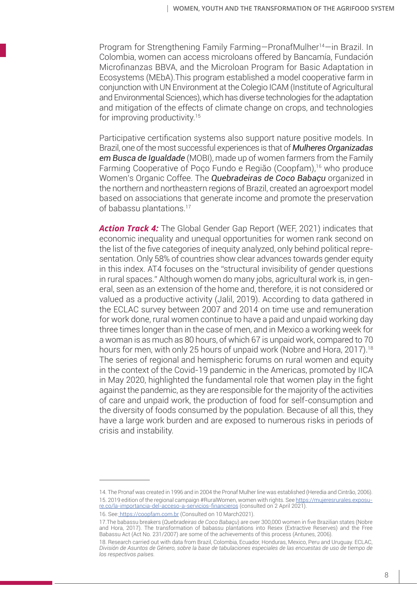Program for Strengthening Family Farming—PronafMulher14—in Brazil. In Colombia, women can access microloans offered by Bancamía, Fundación Microfinanzas BBVA, and the Microloan Program for Basic Adaptation in Ecosystems (MEbA).This program established a model cooperative farm in conjunction with UN Environment at the Colegio ICAM (Institute of Agricultural and Environmental Sciences), which has diverse technologies for the adaptation and mitigation of the effects of climate change on crops, and technologies for improving productivity.15

Participative certification systems also support nature positive models. In Brazil, one of the most successful experiences is that of *Mulheres Organizadas em Busca de Igualdade* (MOBI), made up of women farmers from the Family Farming Cooperative of Poço Fundo e Região (Coopfam),<sup>16</sup> who produce Women's Organic Coffee. The *Quebradeiras de Coco Babaçu* organized in the northern and northeastern regions of Brazil, created an agroexport model based on associations that generate income and promote the preservation of babassu plantations.<sup>17</sup>

*Action Track 4:* The Global Gender Gap Report (WEF, 2021) indicates that economic inequality and unequal opportunities for women rank second on the list of the five categories of inequity analyzed, only behind political representation. Only 58% of countries show clear advances towards gender equity in this index. AT4 focuses on the "structural invisibility of gender questions in rural spaces." Although women do many jobs, agricultural work is, in general, seen as an extension of the home and, therefore, it is not considered or valued as a productive activity (Jalil, 2019). According to data gathered in the ECLAC survey between 2007 and 2014 on time use and remuneration for work done, rural women continue to have a paid and unpaid working day three times longer than in the case of men, and in Mexico a working week for a woman is as much as 80 hours, of which 67 is unpaid work, compared to 70 hours for men, with only 25 hours of unpaid work (Nobre and Hora, 2017).<sup>18</sup> The series of regional and hemispheric forums on rural women and equity in the context of the Covid-19 pandemic in the Americas, promoted by IICA in May 2020, highlighted the fundamental role that women play in the fight against the pandemic, as they are responsible for the majority of the activities of care and unpaid work, the production of food for self-consumption and the diversity of foods consumed by the population. Because of all this, they have a large work burden and are exposed to numerous risks in periods of crisis and instability.

<sup>14.</sup> The Pronaf was created in 1996 and in 2004 the Pronaf Mulher line was established (Heredia and Cintrão, 2006). 15. 2019 edition of the regional campaign #RuralWomen, women with rights. See https://mujeresrurales.exposure.co/la-importancia-del-acceso-a-servicios-financieros (consulted on 2 April 2021).

<sup>16.</sup> See: https://coopfam.com.br (Consulted on 10 March2021).

<sup>17.</sup>The babassu breakers (*Quebradeiras de Coco Babaçu*) are over 300,000 women in five Brazilian states (Nobre and Hora, 2017). The transformation of babassu plantations into Resex (Extractive Reserves) and the Free Babassu Act (Act No. 231/2007) are some of the achievements of this process (Antunes, 2006).

<sup>18.</sup> Research carried out with data from Brazil, Colombia, Ecuador, Honduras, Mexico, Peru and Uruguay. ECLAC, *División de Asuntos de Género, sobre la base de tabulaciones especiales de las encuestas de uso de tiempo de los respectivos países.*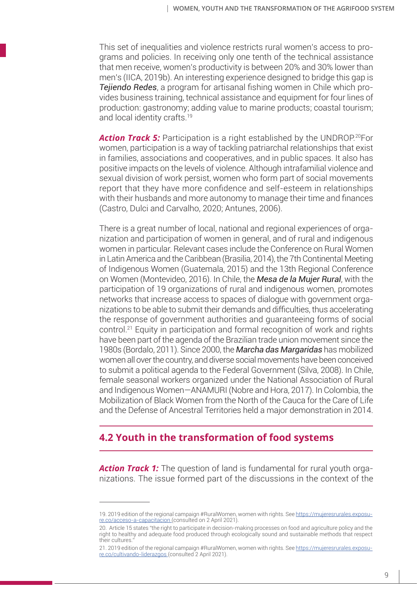This set of inequalities and violence restricts rural women's access to programs and policies. In receiving only one tenth of the technical assistance that men receive, women's productivity is between 20% and 30% lower than men's (IICA, 2019b). An interesting experience designed to bridge this gap is *Tejiendo Redes*, a program for artisanal fishing women in Chile which provides business training, technical assistance and equipment for four lines of production: gastronomy; adding value to marine products; coastal tourism; and local identity crafts.<sup>19</sup>

**Action Track 5:** Participation is a right established by the UNDROP.<sup>20</sup>For women, participation is a way of tackling patriarchal relationships that exist in families, associations and cooperatives, and in public spaces. It also has positive impacts on the levels of violence. Although intrafamilial violence and sexual division of work persist, women who form part of social movements report that they have more confidence and self-esteem in relationships with their husbands and more autonomy to manage their time and finances (Castro, Dulci and Carvalho, 2020; Antunes, 2006).

There is a great number of local, national and regional experiences of organization and participation of women in general, and of rural and indigenous women in particular. Relevant cases include the Conference on Rural Women in Latin America and the Caribbean (Brasilia, 2014), the 7th Continental Meeting of Indigenous Women (Guatemala, 2015) and the 13th Regional Conference on Women (Montevideo, 2016). In Chile, the *Mesa de la Mujer Rural*, with the participation of 19 organizations of rural and indigenous women, promotes networks that increase access to spaces of dialogue with government organizations to be able to submit their demands and difficulties, thus accelerating the response of government authorities and guaranteeing forms of social control.21 Equity in participation and formal recognition of work and rights have been part of the agenda of the Brazilian trade union movement since the 1980s (Bordalo, 2011). Since 2000, the *Marcha das Margaridas* has mobilized women all over the country, and diverse social movements have been conceived to submit a political agenda to the Federal Government (Silva, 2008). In Chile, female seasonal workers organized under the National Association of Rural and Indigenous Women—ANAMURI (Nobre and Hora, 2017). In Colombia, the Mobilization of Black Women from the North of the Cauca for the Care of Life and the Defense of Ancestral Territories held a major demonstration in 2014.

#### **4.2 Youth in the transformation of food systems**

*Action Track 1:* The question of land is fundamental for rural youth organizations. The issue formed part of the discussions in the context of the

<sup>19. 2019</sup> edition of the regional campaign #RuralWomen, women with rights. See https://mujeresrurales.exposure.co/acceso-a-capacitacion (consulted on 2 April 2021).

<sup>20.</sup> Article 15 states "the right to participate in decision-making processes on food and agriculture policy and the right to healthy and adequate food produced through ecologically sound and sustainable methods that respect their cultures."

<sup>21. 2019</sup> edition of the regional campaign #RuralWomen, women with rights. See https://mujeresrurales.exposure.co/cultivando-liderazgos (consulted 2 April 2021).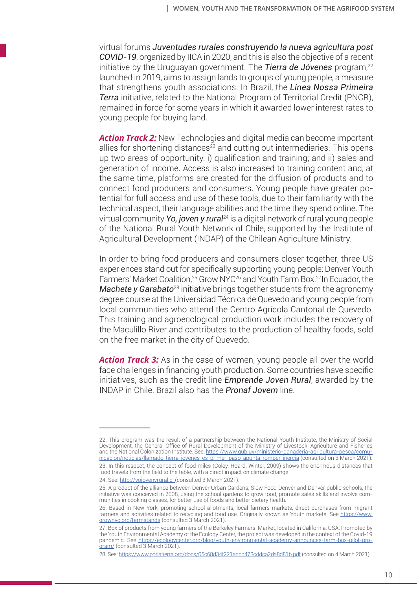virtual forums *Juventudes rurales construyendo la nueva agricultura post COVID-19*, organized by IICA in 2020, and this is also the objective of a recent initiative by the Uruguayan government. The **Tierra de Jóvenes** program,<sup>22</sup> launched in 2019, aims to assign lands to groups of young people, a measure that strengthens youth associations. In Brazil, the *Línea Nossa Primeira Terra* initiative, related to the National Program of Territorial Credit (PNCR), remained in force for some years in which it awarded lower interest rates to young people for buying land.

*Action Track 2:* New Technologies and digital media can become important allies for shortening distances<sup>23</sup> and cutting out intermediaries. This opens up two areas of opportunity: i) qualification and training; and ii) sales and generation of income. Access is also increased to training content and, at the same time, platforms are created for the diffusion of products and to connect food producers and consumers. Young people have greater potential for full access and use of these tools, due to their familiarity with the technical aspect, their language abilities and the time they spend online. The virtual community *Yo, joven y rural*24 is a digital network of rural young people of the National Rural Youth Network of Chile, supported by the Institute of Agricultural Development (INDAP) of the Chilean Agriculture Ministry.

In order to bring food producers and consumers closer together, three US experiences stand out for specifically supporting young people: Denver Youth Farmers' Market Coalition, <sup>25</sup> Grow NYC<sup>26</sup> and Youth Farm Box.<sup>27</sup>In Ecuador, the *Machete y Garabato*<sup>28</sup> initiative brings together students from the agronomy degree course at the Universidad Técnica de Quevedo and young people from local communities who attend the Centro Agrícola Cantonal de Quevedo. This training and agroecological production work includes the recovery of the Maculillo River and contributes to the production of healthy foods, sold on the free market in the city of Quevedo.

**Action Track 3:** As in the case of women, young people all over the world face challenges in financing youth production. Some countries have specific initiatives, such as the credit line *Emprende Joven Rural*, awarded by the INDAP in Chile. Brazil also has the *Pronaf Jovem* line.

<sup>22.</sup> This program was the result of a partnership between the National Youth Institute, the Ministry of Social Development, the General Office of Rural Development of the Ministry of Livestock, Agriculture and Fisheries and the National Colonization Institute. See: https://www.gub.uy/ministerio-ganaderia-agricultura-pesca/comunicacion/noticias/llamado-tierra-jovenes-es-primer-paso-apunta-romper-inercia (consulted on 3 March 2021).

<sup>23.</sup> In this respect, the concept of food miles (Coley, Hoard, Winter, 2009) shows the enormous distances that food travels from the field to the table, with a direct impact on climate change.

<sup>24.</sup> See: http://yojovenyrural.cl (consulted 3 March 2021).

<sup>25.</sup> A product of the alliance between Denver Urban Gardens, Slow Food Denver and Denver public schools, the initiative was conceived in 2008, using the school gardens to grow food, promote sales skills and involve communities in cooking classes, for better use of foods and better dietary health.

<sup>26.</sup> Based in New York, promoting school allotments, local farmers markets, direct purchases from migrant farmers and activities related to recycling and food use. Originally known as Youth markets. See https://www. grownyc.org/farmstands (consulted 3 March 2021).

<sup>27.</sup> Box of products from young farmers of the Berkeley Farmers' Market, located in California, USA. Promoted by the Youth Environmental Academy of the Ecology Center, the project was developed in the context of the Covid-19 pandemic. See https://ecologycenter.org/blog/youth-environmental-academy-announces-farm-box-pilot-program/ (consulted 3 March 2021).

<sup>28.</sup> See: https://www.porlatierra.org/docs/05c68d34f221adcb473cddca2da8d81b.pdf (consulted on 4 March 2021).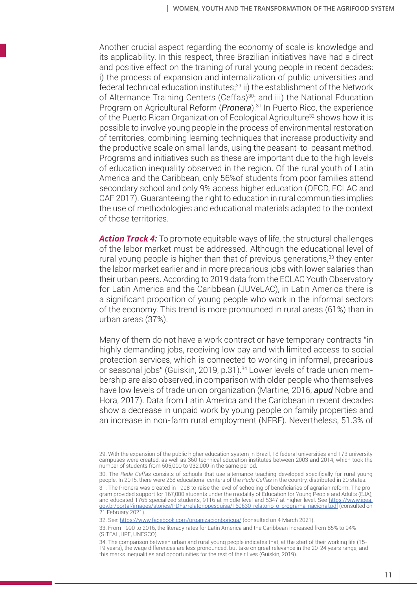Another crucial aspect regarding the economy of scale is knowledge and its applicability. In this respect, three Brazilian initiatives have had a direct and positive effect on the training of rural young people in recent decades: i) the process of expansion and internalization of public universities and federal technical education institutes;<sup>29</sup> ii) the establishment of the Network of Alternance Training Centers (Ceffas)<sup>30</sup>; and iii) the National Education Program on Agricultural Reform (*Pronera*).31 In Puerto Rico, the experience of the Puerto Rican Organization of Ecological Agriculture<sup>32</sup> shows how it is possible to involve young people in the process of environmental restoration of territories, combining learning techniques that increase productivity and the productive scale on small lands, using the peasant-to-peasant method. Programs and initiatives such as these are important due to the high levels of education inequality observed in the region. Of the rural youth of Latin America and the Caribbean, only 56%of students from poor families attend secondary school and only 9% access higher education (OECD, ECLAC and CAF 2017). Guaranteeing the right to education in rural communities implies the use of methodologies and educational materials adapted to the context of those territories.

*Action Track 4:* To promote equitable ways of life, the structural challenges of the labor market must be addressed. Although the educational level of rural young people is higher than that of previous generations,<sup>33</sup> they enter the labor market earlier and in more precarious jobs with lower salaries than their urban peers. According to 2019 data from the ECLAC Youth Observatory for Latin America and the Caribbean (JUVeLAC), in Latin America there is a significant proportion of young people who work in the informal sectors of the economy. This trend is more pronounced in rural areas (61%) than in urban areas (37%).

Many of them do not have a work contract or have temporary contracts "in highly demanding jobs, receiving low pay and with limited access to social protection services, which is connected to working in informal, precarious or seasonal jobs" (Guiskin, 2019, p.31).<sup>34</sup> Lower levels of trade union membership are also observed, in comparison with older people who themselves have low levels of trade union organization (Martine, 2016, *apud* Nobre and Hora, 2017). Data from Latin America and the Caribbean in recent decades show a decrease in unpaid work by young people on family properties and an increase in non-farm rural employment (NFRE). Nevertheless, 51.3% of

<sup>29.</sup> With the expansion of the public higher education system in Brazil, 18 federal universities and 173 university campuses were created, as well as 360 technical education institutes between 2003 and 2014, which took the number of students from 505,000 to 932,000 in the same period.

<sup>30.</sup> The *Rede Ceffas* consists of schools that use alternance teaching developed specifically for rural young people. In 2015, there were 268 educational centers of the *Rede Ceffas* in the country, distributed in 20 states.

<sup>31.</sup> The Pronera was created in 1998 to raise the level of schooling of beneficiaries of agrarian reform. The program provided support for 167,000 students under the modality of Education for Young People and Adults (EJA), and educated 1765 specialized students, 9116 at middle level and 5347 at higher level. See https://www.ipea. gov.br/portal/images/stories/PDFs/relatoriopesquisa/160630\_relatorio\_o-programa-nacional.pdf (consulted on 21 February 2021).

<sup>32.</sup> See: https://www.facebook.com/organizacionboricua/ (consulted on 4 March 2021).

<sup>33.</sup> From 1990 to 2016, the literacy rates for Latin America and the Caribbean increased from 85% to 94% (SITEAL, IIPE, UNESCO).

<sup>34.</sup> The comparison between urban and rural young people indicates that, at the start of their working life (15- 19 years), the wage differences are less pronounced, but take on great relevance in the 20-24 years range, and this marks inequalities and opportunities for the rest of their lives (Guiskin, 2019).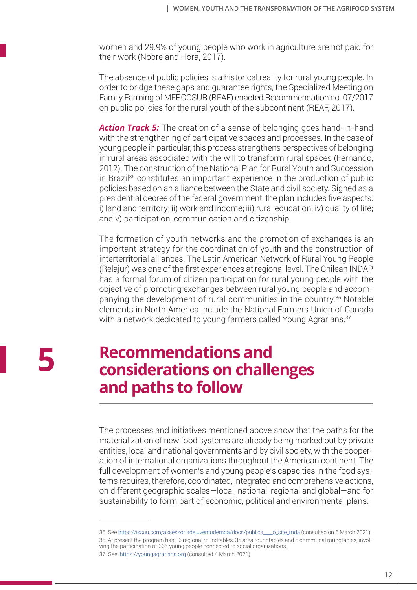women and 29.9% of young people who work in agriculture are not paid for their work (Nobre and Hora, 2017).

The absence of public policies is a historical reality for rural young people. In order to bridge these gaps and guarantee rights, the Specialized Meeting on Family Farming of MERCOSUR (REAF) enacted Recommendation no. 07/2017 on public policies for the rural youth of the subcontinent (REAF, 2017).

*Action Track 5:* The creation of a sense of belonging goes hand-in-hand with the strengthening of participative spaces and processes. In the case of young people in particular, this process strengthens perspectives of belonging in rural areas associated with the will to transform rural spaces (Fernando, 2012). The construction of the National Plan for Rural Youth and Succession in Brazil<sup>35</sup> constitutes an important experience in the production of public policies based on an alliance between the State and civil society. Signed as a presidential decree of the federal government, the plan includes five aspects: i) land and territory; ii) work and income; iii) rural education; iv) quality of life; and v) participation, communication and citizenship.

The formation of youth networks and the promotion of exchanges is an important strategy for the coordination of youth and the construction of interterritorial alliances. The Latin American Network of Rural Young People (Relajur) was one of the first experiences at regional level. The Chilean INDAP has a formal forum of citizen participation for rural young people with the objective of promoting exchanges between rural young people and accompanying the development of rural communities in the country.36 Notable elements in North America include the National Farmers Union of Canada with a network dedicated to young farmers called Young Agrarians.<sup>37</sup>

**5**

### **Recommendations and considerations on challenges and paths to follow**

The processes and initiatives mentioned above show that the paths for the materialization of new food systems are already being marked out by private entities, local and national governments and by civil society, with the cooperation of international organizations throughout the American continent. The full development of women's and young people's capacities in the food systems requires, therefore, coordinated, integrated and comprehensive actions, on different geographic scales—local, national, regional and global—and for sustainability to form part of economic, political and environmental plans.

<sup>35.</sup> See https://issuu.com/assessoriadejuventudemda/docs/publica\_\_\_\_o\_site\_mda (consulted on 6 March 2021). 36. At present the program has 16 regional roundtables, 35 area roundtables and 5 communal roundtables, involving the participation of 665 young people connected to social organizations.

<sup>37.</sup> See: https://youngagrarians.org (consulted 4 March 2021).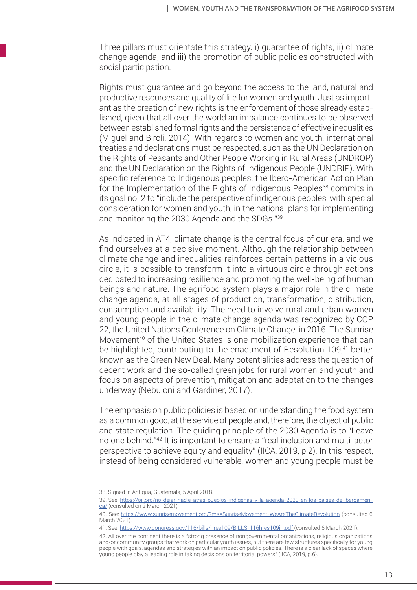Three pillars must orientate this strategy: i) guarantee of rights; ii) climate change agenda; and iii) the promotion of public policies constructed with social participation.

Rights must guarantee and go beyond the access to the land, natural and productive resources and quality of life for women and youth. Just as important as the creation of new rights is the enforcement of those already established, given that all over the world an imbalance continues to be observed between established formal rights and the persistence of effective inequalities (Miguel and Biroli, 2014). With regards to women and youth, international treaties and declarations must be respected, such as the UN Declaration on the Rights of Peasants and Other People Working in Rural Areas (UNDROP) and the UN Declaration on the Rights of Indigenous People (UNDRIP). With specific reference to Indigenous peoples, the Ibero-American Action Plan for the Implementation of the Rights of Indigenous Peoples<sup>38</sup> commits in its goal no. 2 to "include the perspective of indigenous peoples, with special consideration for women and youth, in the national plans for implementing and monitoring the 2030 Agenda and the SDGs."39

As indicated in AT4, climate change is the central focus of our era, and we find ourselves at a decisive moment. Although the relationship between climate change and inequalities reinforces certain patterns in a vicious circle, it is possible to transform it into a virtuous circle through actions dedicated to increasing resilience and promoting the well-being of human beings and nature. The agrifood system plays a major role in the climate change agenda, at all stages of production, transformation, distribution, consumption and availability. The need to involve rural and urban women and young people in the climate change agenda was recognized by COP 22, the United Nations Conference on Climate Change, in 2016. The Sunrise Movement<sup>40</sup> of the United States is one mobilization experience that can be highlighted, contributing to the enactment of Resolution 109.<sup>41</sup> better known as the Green New Deal. Many potentialities address the question of decent work and the so-called green jobs for rural women and youth and focus on aspects of prevention, mitigation and adaptation to the changes underway (Nebuloni and Gardiner, 2017).

The emphasis on public policies is based on understanding the food system as a common good, at the service of people and, therefore, the object of public and state regulation. The guiding principle of the 2030 Agenda is to "Leave no one behind."42 It is important to ensure a "real inclusion and multi-actor perspective to achieve equity and equality" (IICA, 2019, p.2). In this respect, instead of being considered vulnerable, women and young people must be

<sup>38.</sup> Signed in Antigua, Guatemala, 5 April 2018.

<sup>39.</sup> See: https://oij.org/no-dejar-nadie-atras-pueblos-indigenas-y-la-agenda-2030-en-los-paises-de-iberoamerica/ (consulted on 2 March 2021).

<sup>40.</sup> See: https://www.sunrisemovement.org/?ms=SunriseMovement-WeAreTheClimateRevolution (consulted 6 March 2021).

<sup>41.</sup> See: https://www.congress.gov/116/bills/hres109/BILLS-116hres109ih.pdf (consulted 6 March 2021).

<sup>42.</sup> All over the continent there is a "strong presence of nongovernmental organizations, religious organizations and/or community groups that work on particular youth issues, but there are few structures specifically for young people with goals, agendas and strategies with an impact on public policies. There is a clear lack of spaces where young people play a leading role in taking decisions on territorial powers" (IICA, 2019, p.6).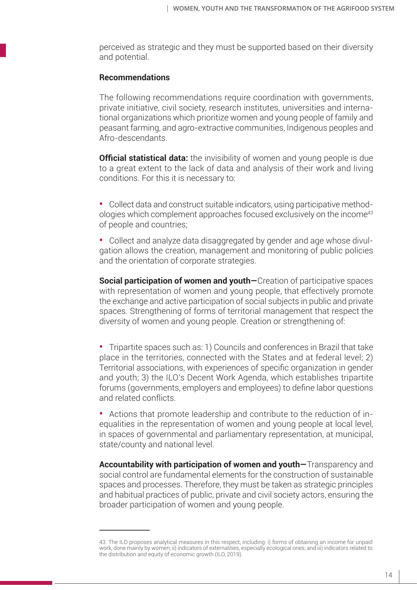perceived as strategic and they must be supported based on their diversity and potential.

#### **Recommendations**

The following recommendations require coordination with governments, private initiative, civil society, research institutes, universities and international organizations which prioritize women and young people of family and peasant farming, and agro-extractive communities, Indigenous peoples and Afro-descendants.

**Official statistical data:** the invisibility of women and young people is due to a great extent to the lack of data and analysis of their work and living conditions. For this it is necessary to:

**•** Collect data and construct suitable indicators, using participative methodologies which complement approaches focused exclusively on the income43 of people and countries;

**•** Collect and analyze data disaggregated by gender and age whose divulgation allows the creation, management and monitoring of public policies and the orientation of corporate strategies.

**Social participation of women and vouth–**Creation of participative spaces with representation of women and young people, that effectively promote the exchange and active participation of social subjects in public and private spaces. Strengthening of forms of territorial management that respect the diversity of women and young people. Creation or strengthening of:

**•** Tripartite spaces such as: 1) Councils and conferences in Brazil that take place in the territories, connected with the States and at federal level; 2) Territorial associations, with experiences of specific organization in gender and youth; 3) the ILO's Decent Work Agenda, which establishes tripartite forums (governments, employers and employees) to define labor questions and related conflicts.

**•** Actions that promote leadership and contribute to the reduction of inequalities in the representation of women and young people at local level, in spaces of governmental and parliamentary representation, at municipal, state/county and national level.

**Accountability with participation of women and youth—**Transparency and social control are fundamental elements for the construction of sustainable spaces and processes. Therefore, they must be taken as strategic principles and habitual practices of public, private and civil society actors, ensuring the broader participation of women and young people.

<sup>43.</sup> The ILO proposes analytical measures in this respect, including: i) forms of obtaining an income for unpaid work, done mainly by women; ii) indicators of externalities, especially ecological ones; and iii) indicators related to the distribution and equity of economic growth (ILO, 2019).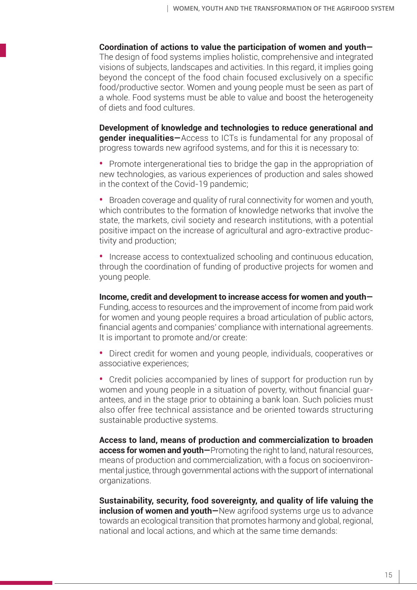**Coordination of actions to value the participation of women and youth—** The design of food systems implies holistic, comprehensive and integrated visions of subjects, landscapes and activities. In this regard, it implies going beyond the concept of the food chain focused exclusively on a specific food/productive sector. Women and young people must be seen as part of a whole. Food systems must be able to value and boost the heterogeneity of diets and food cultures.

**Development of knowledge and technologies to reduce generational and gender inequalities—**Access to ICTs is fundamental for any proposal of progress towards new agrifood systems, and for this it is necessary to:

**•** Promote intergenerational ties to bridge the gap in the appropriation of new technologies, as various experiences of production and sales showed in the context of the Covid-19 pandemic;

**•** Broaden coverage and quality of rural connectivity for women and youth, which contributes to the formation of knowledge networks that involve the state, the markets, civil society and research institutions, with a potential positive impact on the increase of agricultural and agro-extractive productivity and production;

**•** Increase access to contextualized schooling and continuous education, through the coordination of funding of productive projects for women and young people.

**Income, credit and development to increase access for women and youth—** Funding, access to resources and the improvement of income from paid work for women and young people requires a broad articulation of public actors, financial agents and companies' compliance with international agreements. It is important to promote and/or create:

**•** Direct credit for women and young people, individuals, cooperatives or associative experiences;

**•** Credit policies accompanied by lines of support for production run by women and young people in a situation of poverty, without financial guarantees, and in the stage prior to obtaining a bank loan. Such policies must also offer free technical assistance and be oriented towards structuring sustainable productive systems.

**Access to land, means of production and commercialization to broaden access for women and youth—**Promoting the right to land, natural resources, means of production and commercialization, with a focus on socioenvironmental justice, through governmental actions with the support of international organizations.

**Sustainability, security, food sovereignty, and quality of life valuing the inclusion of women and youth—**New agrifood systems urge us to advance towards an ecological transition that promotes harmony and global, regional, national and local actions, and which at the same time demands: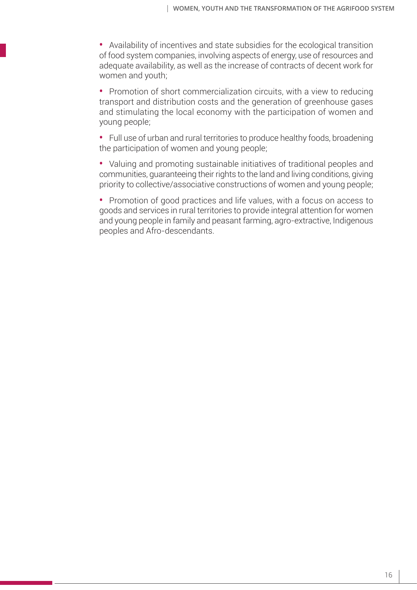**•** Availability of incentives and state subsidies for the ecological transition of food system companies, involving aspects of energy, use of resources and adequate availability, as well as the increase of contracts of decent work for women and youth;

**•** Promotion of short commercialization circuits, with a view to reducing transport and distribution costs and the generation of greenhouse gases and stimulating the local economy with the participation of women and young people;

**•** Full use of urban and rural territories to produce healthy foods, broadening the participation of women and young people;

**•** Valuing and promoting sustainable initiatives of traditional peoples and communities, guaranteeing their rights to the land and living conditions, giving priority to collective/associative constructions of women and young people;

**•** Promotion of good practices and life values, with a focus on access to goods and services in rural territories to provide integral attention for women and young people in family and peasant farming, agro-extractive, Indigenous peoples and Afro-descendants.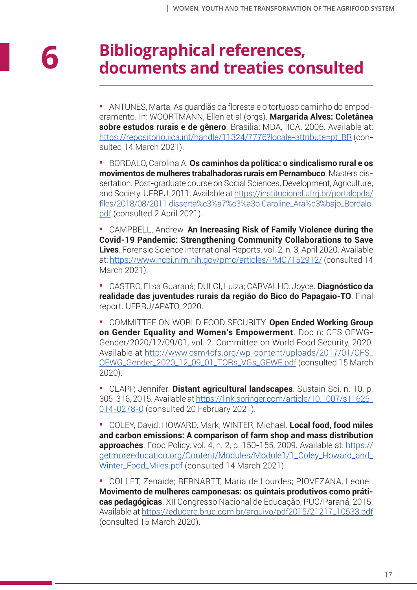### **Bibliographical references, documents and treaties consulted**

**•** ANTUNES, Marta. As guardiãs da floresta e o tortuoso caminho do empoderamento. In: WOORTMANN, Ellen et al (orgs). **Margarida Alves: Coletânea sobre estudos rurais e de gênero**. Brasilia: MDA, IICA. 2006. Available at: https://repositorio.iica.int/handle/11324/7776?locale-attribute=pt\_BR (consulted 14 March 2021).

**•** BORDALO, Carolina A. **Os caminhos da política: o sindicalismo rural e os movimentos de mulheres trabalhadoras rurais em Pernambuco**. Masters dissertation. Post-graduate course on Social Sciences, Development, Agriculture, and Society. UFRRJ, 2011. Available at https://institucional.ufrrj.br/portalcpda/ files/2018/08/2011.disserta%c3%a7%c3%a3o.Caroline\_Ara%c3%bajo\_Bordalo. pdf (consulted 2 April 2021).

**•** CAMPBELL, Andrew. **An Increasing Risk of Family Violence during the Covid-19 Pandemic: Strengthening Community Collaborations to Save Lives**. Forensic Science International Reports, vol. 2, n. 3, April 2020. Available at: https://www.ncbi.nlm.nih.gov/pmc/articles/PMC7152912/ (consulted 14 March 2021).

**•** CASTRO, Elisa Guaraná; DULCI, Luiza; CARVALHO, Joyce. **Diagnóstico da realidade das juventudes rurais da região do Bico do Papagaio-TO**. Final report. UFRRJ/APATO, 2020.

**•** COMMITTEE ON WORLD FOOD SECURITY. **Open Ended Working Group on Gender Equality and Women's Empowerment**. Doc n: CFS OEWG-Gender/2020/12/09/01, vol. 2. Committee on World Food Security, 2020. Available at http://www.csm4cfs.org/wp-content/uploads/2017/01/CFS\_ OEWG\_Gender\_2020\_12\_09\_01\_TORs\_VGs\_GEWE.pdf (consulted 15 March 2020).

**•** CLAPP, Jennifer. **Distant agricultural landscapes**. Sustain Sci, n. 10, p. 305-316, 2015. Available at https://link.springer.com/article/10.1007/s11625- 014-0278-0 (consulted 20 February 2021).

**•** COLEY, David; HOWARD, Mark; WINTER, Michael. **Local food, food miles and carbon emissions: A comparison of farm shop and mass distribution approaches**. Food Policy, vol. 4, n. 2, p. 150-155, 2009. Available at: https:// getmoreeducation.org/Content/Modules/Module1/1\_Coley\_Howard\_and\_ Winter\_Food\_Miles.pdf (consulted 14 March 2021).

**•** COLLET, Zenaide; BERNARTT, Maria de Lourdes; PIOVEZANA, Leonel. **Movimento de mulheres camponesas: os quintais produtivos como práticas pedagógicas**. XII Congresso Nacional de Educação, PUC/Paraná, 2015. Available at https://educere.bruc.com.br/arquivo/pdf2015/21217\_10533.pdf (consulted 15 March 2020).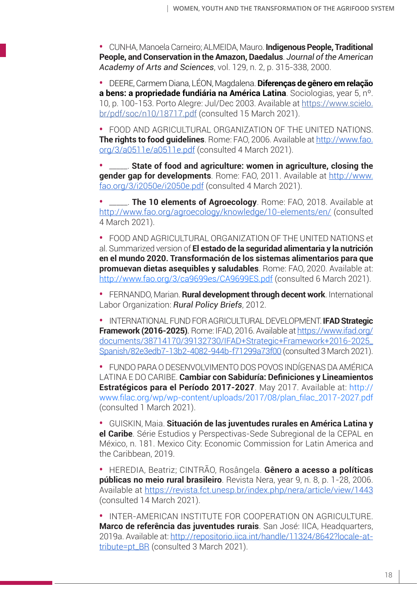**•** CUNHA, Manoela Carneiro; ALMEIDA, Mauro. **Indigenous People, Traditional People, and Conservation in the Amazon, Daedalus**. *Journal of the American Academy of Arts and Sciences*, vol. 129, n. 2, p. 315-338, 2000.

**•** DEERE, Carmem Diana, LÉON, Magdalena. **Diferenças de gênero em relação a bens: a propriedade fundiária na América Latina**. Sociologias, year 5, nº. 10, p. 100-153. Porto Alegre: Jul/Dec 2003. Available at https://www.scielo. br/pdf/soc/n10/18717.pdf (consulted 15 March 2021).

**•** FOOD AND AGRICULTURAL ORGANIZATION OF THE UNITED NATIONS. **The rights to food guidelines**. Rome: FAO, 2006. Available at http://www.fao. org/3/a0511e/a0511e.pdf (consulted 4 March 2021).

**•** \_\_\_\_\_. **State of food and agriculture: women in agriculture, closing the gender gap for developments**. Rome: FAO, 2011. Available at http://www. fao.org/3/i2050e/i2050e.pdf (consulted 4 March 2021).

**•** \_\_\_\_\_. **The 10 elements of Agroecology**. Rome: FAO, 2018. Available at http://www.fao.org/agroecology/knowledge/10-elements/en/ (consulted 4 March 2021).

**•** FOOD AND AGRICULTURAL ORGANIZATION OF THE UNITED NATIONS et al. Summarized version of **El estado de la seguridad alimentaria y la nutrición en el mundo 2020. Transformación de los sistemas alimentarios para que promuevan dietas asequibles y saludables**. Rome: FAO, 2020. Available at: http://www.fao.org/3/ca9699es/CA9699ES.pdf (consulted 6 March 2021).

**•** FERNANDO, Marian. **Rural development through decent work**. International Labor Organization: *Rural Policy Briefs*, 2012.

**•** INTERNATIONAL FUND FOR AGRICULTURAL DEVELOPMENT. **IFAD Strategic Framework (2016-2025)***.* Rome: IFAD, 2016. Available at https://www.ifad.org/ documents/38714170/39132730/IFAD+Strategic+Framework+2016-2025\_ Spanish/82e3edb7-13b2-4082-944b-f71299a73f00 (consulted 3 March 2021).

**•** FUNDO PARA O DESENVOLVIMENTO DOS POVOS INDÍGENAS DA AMÉRICA LATINA E DO CARIBE. **Cambiar con Sabiduría: Definiciones y Lineamientos Estratégicos para el Período 2017-2027**. May 2017. Available at: http:// www.filac.org/wp/wp-content/uploads/2017/08/plan\_filac\_2017-2027.pdf (consulted 1 March 2021).

**•** GUISKIN, Maia. **Situación de las juventudes rurales en América Latina y el Caribe**. Série Estudios y Perspectivas-Sede Subregional de la CEPAL en México, n. 181. Mexico City: Economic Commission for Latin America and the Caribbean, 2019.

**•** HEREDIA, Beatriz; CINTRÃO, Rosângela. **Gênero a acesso a políticas públicas no meio rural brasileiro**. Revista Nera, year 9, n. 8, p. 1-28, 2006. Available at https://revista.fct.unesp.br/index.php/nera/article/view/1443 (consulted 14 March 2021).

**•** INTER-AMERICAN INSTITUTE FOR COOPERATION ON AGRICULTURE. **Marco de referência das juventudes rurais**. San José: IICA, Headquarters, 2019a. Available at: http://repositorio.iica.int/handle/11324/8642?locale-attribute=pt\_BR (consulted 3 March 2021).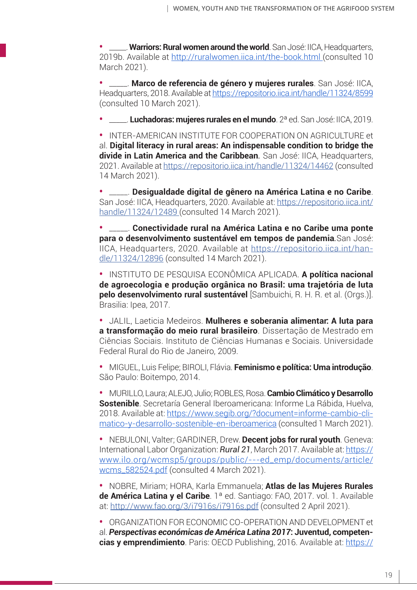**•** \_\_\_\_\_. **Warriors: Rural women around the world**. San José: IICA, Headquarters, 2019b. Available at http://ruralwomen.iica.int/the-book.html (consulted 10 March 2021).

**Marco de referencia de género y mujeres rurales**. San José: IICA, Headquarters, 2018. Available at https://repositorio.iica.int/handle/11324/8599 (consulted 10 March 2021).

**•** \_\_\_\_\_. **Luchadoras: mujeres rurales en el mundo**. 2ª ed. San José: IICA, 2019.

**•** INTER-AMERICAN INSTITUTE FOR COOPERATION ON AGRICULTURE et al. **Digital literacy in rural areas: An indispensable condition to bridge the divide in Latin America and the Caribbean***.* San José: IICA, Headquarters, 2021. Available at https://repositorio.iica.int/handle/11324/14462 (consulted 14 March 2021).

**•** \_\_\_\_\_. **Desigualdade digital de gênero na América Latina e no Caribe**. San José: IICA, Headquarters, 2020. Available at: https://repositorio.iica.int/ handle/11324/12489 (consulted 14 March 2021).

**•** \_\_\_\_\_. **Conectividade rural na América Latina e no Caribe uma ponte para o desenvolvimento sustentável em tempos de pandemia***.*San José: IICA, Headquarters, 2020. Available at https://repositorio.iica.int/handle/11324/12896 (consulted 14 March 2021).

**•** INSTITUTO DE PESQUISA ECONÔMICA APLICADA. **A política nacional de agroecologia e produção orgânica no Brasil: uma trajetória de luta pelo desenvolvimento rural sustentável** [Sambuichi, R. H. R. et al. (Orgs.)]. Brasilia: Ipea, 2017.

**•** JALIL, Laeticia Medeiros. **Mulheres e soberania alimentar: A luta para a transformação do meio rural brasileiro**. Dissertação de Mestrado em Ciências Sociais. Instituto de Ciências Humanas e Sociais. Universidade Federal Rural do Rio de Janeiro, 2009.

**•** MIGUEL, Luis Felipe; BIROLI, Flávia. **Feminismo e política: Uma introdução**. São Paulo: Boitempo, 2014.

**•** MURILLO, Laura; ALEJO, Julio; ROBLES, Rosa. **Cambio Climático y Desarrollo Sostenible**. Secretaría General Iberoamericana: Informe La Rábida, Huelva, 2018. Available at: https://www.segib.org/?document=informe-cambio-climatico-y-desarrollo-sostenible-en-iberoamerica (consulted 1 March 2021).

**•** NEBULONI, Valter; GARDINER, Drew. **Decent jobs for rural youth**. Geneva: International Labor Organization: *Rural 21*, March 2017. Available at: https:// www.ilo.org/wcmsp5/groups/public/---ed\_emp/documents/article/ wcms\_582524.pdf (consulted 4 March 2021).

**•** NOBRE, Miriam; HORA, Karla Emmanuela; **Atlas de las Mujeres Rurales de América Latina y el Caribe**. 1ª ed. Santiago: FAO, 2017. vol. 1. Available at: http://www.fao.org/3/i7916s/i7916s.pdf (consulted 2 April 2021).

**•** ORGANIZATION FOR ECONOMIC CO-OPERATION AND DEVELOPMENT et al. *Perspectivas económicas de América Latina 2017***: Juventud, competencias y emprendimiento**. Paris: OECD Publishing, 2016. Available at: https://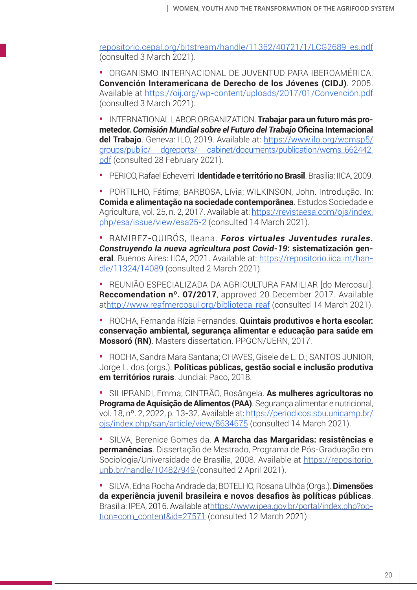repositorio.cepal.org/bitstream/handle/11362/40721/1/LCG2689\_es.pdf (consulted 3 March 2021).

**•** ORGANISMO INTERNACIONAL DE JUVENTUD PARA IBEROAMÉRICA. **Convención Interamericana de Derecho de los Jóvenes (CIDJ)**. 2005. Available at https://oij.org/wp-content/uploads/2017/01/Convención.pdf (consulted 3 March 2021).

**•** INTERNATIONAL LABOR ORGANIZATION. **Trabajar para un futuro más prometedor.** *Comisión Mundial sobre el Futuro del Trabajo* **Oficina Internacional del Trabajo**. Geneva: ILO, 2019. Available at: https://www.ilo.org/wcmsp5/ groups/public/---dgreports/---cabinet/documents/publication/wcms\_662442. pdf (consulted 28 February 2021).

**•** PERICO, Rafael Echeverri. **Identidade e território no Brasil**. Brasilia: IICA, 2009.

**•** PORTILHO, Fátima; BARBOSA, Lívia; WILKINSON, John. Introdução. In: **Comida e alimentação na sociedade contemporânea**. Estudos Sociedade e Agricultura, vol. 25, n. 2, 2017. Available at: https://revistaesa.com/ojs/index. php/esa/issue/view/esa25-2 (consulted 14 March 2021).

**•** RAMIREZ-QUIRÓS, Ileana. *Foros virtuales Juventudes rurales. Construyendo la nueva agricultura post Covid-19***: sistematización general**. Buenos Aires: IICA, 2021. Available at: https://repositorio.iica.int/handle/11324/14089 (consulted 2 March 2021).

**•** REUNIÃO ESPECIALIZADA DA AGRICULTURA FAMILIAR [do Mercosul]. **Reccomendation nº. 07/2017**, approved 20 December 2017. Available athttp://www.reafmercosul.org/biblioteca-reaf (consulted 14 March 2021).

**•** ROCHA, Fernanda Rízia Fernandes. **Quintais produtivos e horta escolar: conservação ambiental, segurança alimentar e educação para saúde em Mossoró (RN)**. Masters dissertation. PPGCN/UERN, 2017.

**•** ROCHA, Sandra Mara Santana; CHAVES, Gisele de L. D.; SANTOS JUNIOR, Jorge L. dos (orgs.). **Políticas públicas, gestão social e inclusão produtiva em territórios rurais**. Jundiaí: Paco, 2018.

**•** SILIPRANDI, Emma; CINTRÃO, Rosângela. **As mulheres agricultoras no Programa de Aquisição de Alimentos (PAA)**. Segurança alimentar e nutricional, vol. 18, nº. 2, 2022, p. 13-32. Available at: https://periodicos.sbu.unicamp.br/ ojs/index.php/san/article/view/8634675 (consulted 14 March 2021).

**•** SILVA, Berenice Gomes da. **A Marcha das Margaridas: resistências e permanências**. Dissertação de Mestrado, Programa de Pós-Graduação em Sociologia/Universidade de Brasília, 2008. Available at https://repositorio. unb.br/handle/10482/949 (consulted 2 April 2021).

**•** SILVA, Edna Rocha Andrade da; BOTELHO, Rosana Ulhôa (Orgs.). **Dimensões da experiência juvenil brasileira e novos desafios às políticas públicas**. Brasília: IPEA, 2016. Available athttps://www.ipea.gov.br/portal/index.php?option=com\_content&id=27571 (consulted 12 March 2021)